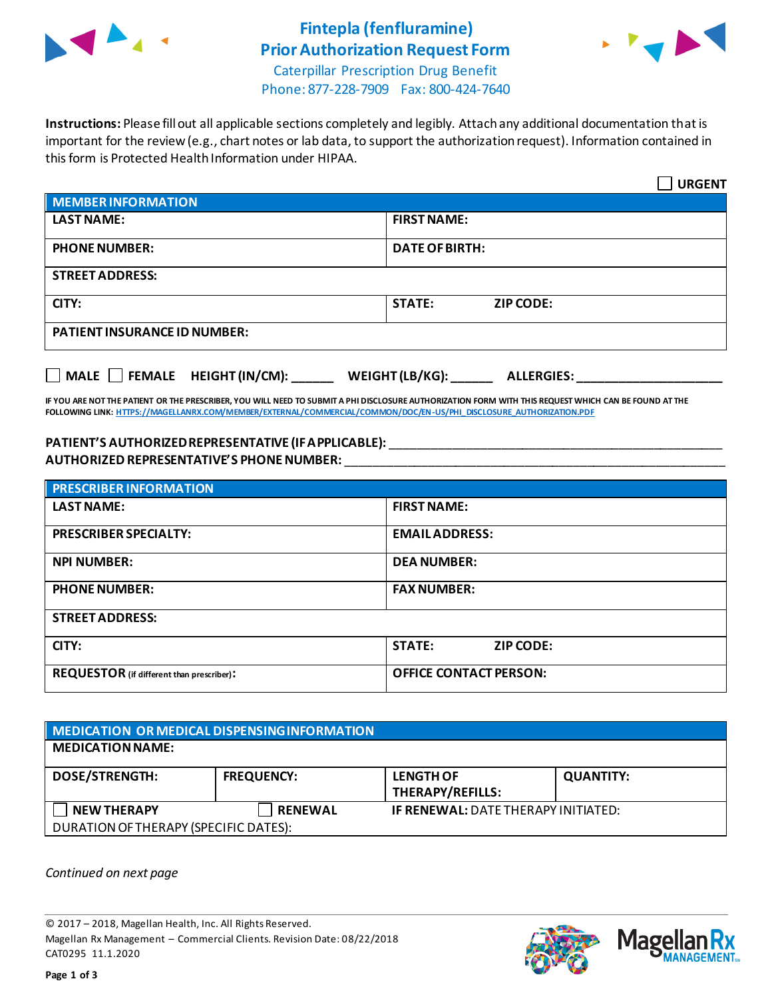

## **Fintepla (fenfluramine) Prior Authorization Request Form**



Caterpillar Prescription Drug Benefit Phone: 877-228-7909 Fax: 800-424-7640

**Instructions:** Please fill out all applicable sections completely and legibly. Attach any additional documentation that is important for the review (e.g., chart notes or lab data, to support the authorization request). Information contained in this form is Protected Health Information under HIPAA.

|                                                                                   | <b>URGENT</b>                     |  |  |  |
|-----------------------------------------------------------------------------------|-----------------------------------|--|--|--|
| <b>MEMBER INFORMATION</b>                                                         |                                   |  |  |  |
| <b>LAST NAME:</b>                                                                 | <b>FIRST NAME:</b>                |  |  |  |
| <b>PHONE NUMBER:</b>                                                              | <b>DATE OF BIRTH:</b>             |  |  |  |
| <b>STREET ADDRESS:</b>                                                            |                                   |  |  |  |
| CITY:                                                                             | <b>STATE:</b><br><b>ZIP CODE:</b> |  |  |  |
| <b>PATIENT INSURANCE ID NUMBER:</b>                                               |                                   |  |  |  |
| $\Box$ MALE $\Box$ FEMALE HEIGHT (IN/CM):<br>WEIGHT (LB/KG):<br><b>ALLERGIES:</b> |                                   |  |  |  |

**IF YOU ARE NOT THE PATIENT OR THE PRESCRIBER, YOU WILL NEED TO SUBMIT A PHI DISCLOSURE AUTHORIZATION FORM WITH THIS REQUEST WHICH CAN BE FOUND AT THE FOLLOWING LINK[: HTTPS://MAGELLANRX.COM/MEMBER/EXTERNAL/COMMERCIAL/COMMON/DOC/EN-US/PHI\\_DISCLOSURE\\_AUTHORIZATION.PDF](https://magellanrx.com/member/external/commercial/common/doc/en-us/PHI_Disclosure_Authorization.pdf)**

## **PATIENT'S AUTHORIZED REPRESENTATIVE (IF APPLICABLE):** \_\_\_\_\_\_\_\_\_\_\_\_\_\_\_\_\_\_\_\_\_\_\_\_\_\_\_\_\_\_\_\_\_\_\_\_\_\_\_\_\_\_\_\_\_\_\_\_ **AUTHORIZED REPRESENTATIVE'S PHONE NUMBER:** \_\_\_\_\_\_\_\_\_\_\_\_\_\_\_\_\_\_\_\_\_\_\_\_\_\_\_\_\_\_\_\_\_\_\_\_\_\_\_\_\_\_\_\_\_\_\_\_\_\_\_\_\_\_\_

| <b>PRESCRIBER INFORMATION</b>             |                                   |  |  |  |
|-------------------------------------------|-----------------------------------|--|--|--|
| <b>LAST NAME:</b>                         | <b>FIRST NAME:</b>                |  |  |  |
| <b>PRESCRIBER SPECIALTY:</b>              | <b>EMAIL ADDRESS:</b>             |  |  |  |
| <b>NPI NUMBER:</b>                        | <b>DEA NUMBER:</b>                |  |  |  |
| <b>PHONE NUMBER:</b>                      | <b>FAX NUMBER:</b>                |  |  |  |
| <b>STREET ADDRESS:</b>                    |                                   |  |  |  |
| CITY:                                     | <b>STATE:</b><br><b>ZIP CODE:</b> |  |  |  |
| REQUESTOR (if different than prescriber): | <b>OFFICE CONTACT PERSON:</b>     |  |  |  |

| MEDICATION OR MEDICAL DISPENSING INFORMATION |                   |                                             |                  |  |  |
|----------------------------------------------|-------------------|---------------------------------------------|------------------|--|--|
| <b>MEDICATION NAME:</b>                      |                   |                                             |                  |  |  |
| <b>DOSE/STRENGTH:</b>                        | <b>FREQUENCY:</b> | <b>LENGTH OF</b><br><b>THERAPY/REFILLS:</b> | <b>QUANTITY:</b> |  |  |
| <b>NEW THERAPY</b>                           | <b>RENEWAL</b>    | <b>IF RENEWAL: DATE THERAPY INITIATED:</b>  |                  |  |  |
| DURATION OF THERAPY (SPECIFIC DATES):        |                   |                                             |                  |  |  |

*Continued on next page*

© 2017 – 2018, Magellan Health, Inc. All Rights Reserved. Magellan Rx Management – Commercial Clients. Revision Date: 08/22/2018 CAT0295 11.1.2020



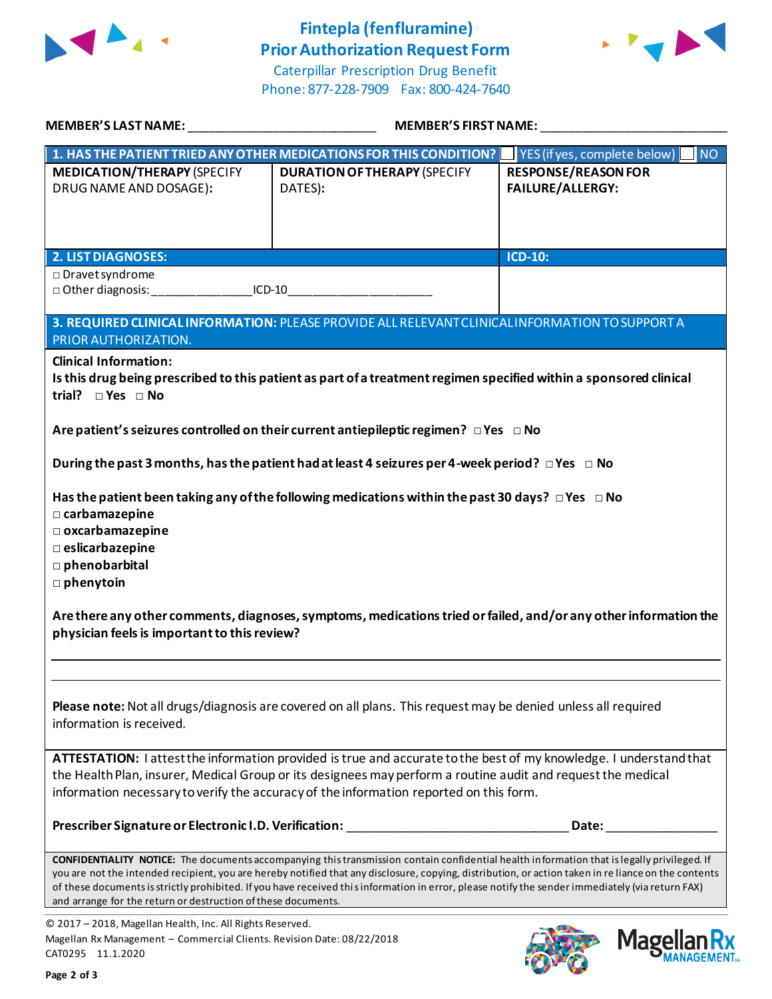

## **Fintepla (fenfluramine) Prior Authorization Request Form**





| MEMBER'S LAST NAME: _________________________________                                                                                                                                                                                                                                                                                                                                                                                                                                                                                                                                                                                                                                                                                                                                                       | <b>MEMBER'S FIRST NAME:</b>                                                                                                                                                                                                                                                                                                                                                                                                                                    |                                                       |  |  |
|-------------------------------------------------------------------------------------------------------------------------------------------------------------------------------------------------------------------------------------------------------------------------------------------------------------------------------------------------------------------------------------------------------------------------------------------------------------------------------------------------------------------------------------------------------------------------------------------------------------------------------------------------------------------------------------------------------------------------------------------------------------------------------------------------------------|----------------------------------------------------------------------------------------------------------------------------------------------------------------------------------------------------------------------------------------------------------------------------------------------------------------------------------------------------------------------------------------------------------------------------------------------------------------|-------------------------------------------------------|--|--|
|                                                                                                                                                                                                                                                                                                                                                                                                                                                                                                                                                                                                                                                                                                                                                                                                             | 1. HAS THE PATIENT TRIED ANY OTHER MEDICATIONS FOR THIS CONDITION?   YES (if yes, complete below)                                                                                                                                                                                                                                                                                                                                                              | $\blacksquare$ NO                                     |  |  |
| <b>MEDICATION/THERAPY (SPECIFY</b><br>DRUG NAME AND DOSAGE):                                                                                                                                                                                                                                                                                                                                                                                                                                                                                                                                                                                                                                                                                                                                                | <b>DURATION OF THERAPY (SPECIFY</b><br>DATES):                                                                                                                                                                                                                                                                                                                                                                                                                 | <b>RESPONSE/REASON FOR</b><br><b>FAILURE/ALLERGY:</b> |  |  |
| <b>2. LIST DIAGNOSES:</b>                                                                                                                                                                                                                                                                                                                                                                                                                                                                                                                                                                                                                                                                                                                                                                                   |                                                                                                                                                                                                                                                                                                                                                                                                                                                                | <b>ICD-10:</b>                                        |  |  |
| □ Dravet syndrome<br>Other diagnosis: CD-10                                                                                                                                                                                                                                                                                                                                                                                                                                                                                                                                                                                                                                                                                                                                                                 |                                                                                                                                                                                                                                                                                                                                                                                                                                                                |                                                       |  |  |
| 3. REQUIRED CLINICAL INFORMATION: PLEASE PROVIDE ALL RELEVANT CLINICAL INFORMATION TO SUPPORT A<br>PRIOR AUTHORIZATION.                                                                                                                                                                                                                                                                                                                                                                                                                                                                                                                                                                                                                                                                                     |                                                                                                                                                                                                                                                                                                                                                                                                                                                                |                                                       |  |  |
| <b>Clinical Information:</b><br>Is this drug being prescribed to this patient as part of a treatment regimen specified within a sponsored clinical<br>trial? $\square$ Yes $\square$ No<br>Are patient's seizures controlled on their current antiepileptic regimen? $\Box$ Yes $\Box$ No<br>During the past 3 months, has the patient had at least 4 seizures per 4-week period? $\Box$ Yes $\Box$ No<br>Has the patient been taking any of the following medications within the past 30 days? $\Box$ Yes $\Box$ No<br>□ carbamazepine<br>$\square$ oxcarbamazepine<br><b>Deslicarbazepine</b><br>phenobarbital<br>$\square$ phenytoin<br>Are there any other comments, diagnoses, symptoms, medications tried or failed, and/or any other information the<br>physician feels is important to this review? |                                                                                                                                                                                                                                                                                                                                                                                                                                                                |                                                       |  |  |
| Please note: Not all drugs/diagnosis are covered on all plans. This request may be denied unless all required<br>information is received.                                                                                                                                                                                                                                                                                                                                                                                                                                                                                                                                                                                                                                                                   |                                                                                                                                                                                                                                                                                                                                                                                                                                                                |                                                       |  |  |
| ATTESTATION: I attest the information provided is true and accurate to the best of my knowledge. I understand that<br>the Health Plan, insurer, Medical Group or its designees may perform a routine audit and request the medical<br>information necessary to verify the accuracy of the information reported on this form.                                                                                                                                                                                                                                                                                                                                                                                                                                                                                |                                                                                                                                                                                                                                                                                                                                                                                                                                                                |                                                       |  |  |
|                                                                                                                                                                                                                                                                                                                                                                                                                                                                                                                                                                                                                                                                                                                                                                                                             | Prescriber Signature or Electronic I.D. Verification: __________________________                                                                                                                                                                                                                                                                                                                                                                               | Date:                                                 |  |  |
| and arrange for the return or destruction of these documents.                                                                                                                                                                                                                                                                                                                                                                                                                                                                                                                                                                                                                                                                                                                                               | <b>CONFIDENTIALITY NOTICE:</b> The documents accompanying this transmission contain confidential health information that is legally privileged. If<br>you are not the intended recipient, you are hereby notified that any disclosure, copying, distribution, or action taken in re liance on the contents<br>of these documents is strictly prohibited. If you have received this information in error, please notify the sender immediately (via return FAX) |                                                       |  |  |
| © 2017 - 2018, Magellan Health, Inc. All Rights Reserved.                                                                                                                                                                                                                                                                                                                                                                                                                                                                                                                                                                                                                                                                                                                                                   |                                                                                                                                                                                                                                                                                                                                                                                                                                                                |                                                       |  |  |

Magellan Rx Management – Commercial Clients. Revision Date: 08/22/2018 CAT0295 11.1.2020